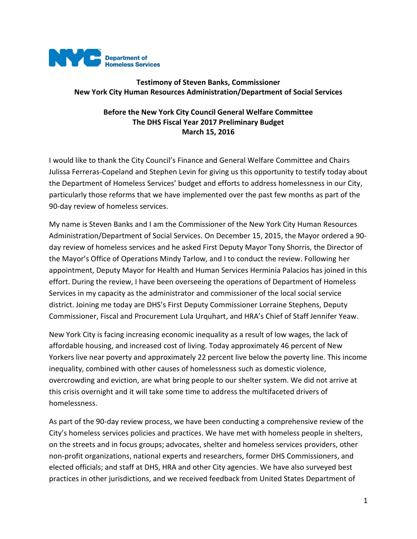

## **Testimony of Steven Banks, Commissioner New York City Human Resources Administration/Department of Social Services**

## **Before the New York City Council General Welfare Committee The DHS Fiscal Year 2017 Preliminary Budget March 15, 2016**

I would like to thank the City Council's Finance and General Welfare Committee and Chairs Julissa Ferreras-Copeland and Stephen Levin for giving us this opportunity to testify today about the Department of Homeless Services' budget and efforts to address homelessness in our City, particularly those reforms that we have implemented over the past few months as part of the 90-day review of homeless services.

My name is Steven Banks and I am the Commissioner of the New York City Human Resources Administration/Department of Social Services. On December 15, 2015, the Mayor ordered a 90 day review of homeless services and he asked First Deputy Mayor Tony Shorris, the Director of the Mayor's Office of Operations Mindy Tarlow, and I to conduct the review. Following her appointment, Deputy Mayor for Health and Human Services Herminia Palacios has joined in this effort. During the review, I have been overseeing the operations of Department of Homeless Services in my capacity as the administrator and commissioner of the local social service district. Joining me today are DHS's First Deputy Commissioner Lorraine Stephens, Deputy Commissioner, Fiscal and Procurement Lula Urquhart, and HRA's Chief of Staff Jennifer Yeaw.

New York City is facing increasing economic inequality as a result of low wages, the lack of affordable housing, and increased cost of living. Today approximately 46 percent of New Yorkers live near poverty and approximately 22 percent live below the poverty line. This income inequality, combined with other causes of homelessness such as domestic violence, overcrowding and eviction, are what bring people to our shelter system. We did not arrive at this crisis overnight and it will take some time to address the multifaceted drivers of homelessness.

As part of the 90-day review process, we have been conducting a comprehensive review of the City's homeless services policies and practices. We have met with homeless people in shelters, on the streets and in focus groups; advocates, shelter and homeless services providers, other non-profit organizations, national experts and researchers, former DHS Commissioners, and elected officials; and staff at DHS, HRA and other City agencies. We have also surveyed best practices in other jurisdictions, and we received feedback from United States Department of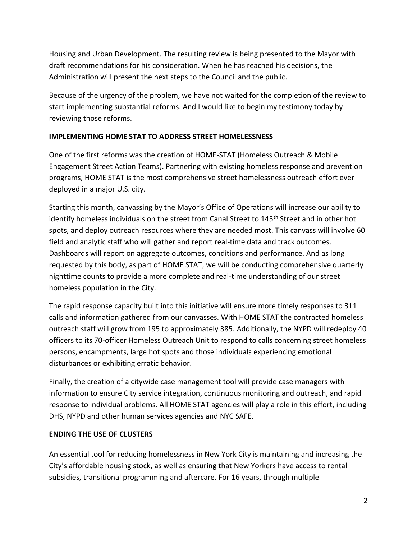Housing and Urban Development. The resulting review is being presented to the Mayor with draft recommendations for his consideration. When he has reached his decisions, the Administration will present the next steps to the Council and the public.

Because of the urgency of the problem, we have not waited for the completion of the review to start implementing substantial reforms. And I would like to begin my testimony today by reviewing those reforms.

## **IMPLEMENTING HOME STAT TO ADDRESS STREET HOMELESSNESS**

One of the first reforms was the creation of HOME-STAT (Homeless Outreach & Mobile Engagement Street Action Teams). Partnering with existing homeless response and prevention programs, HOME STAT is the most comprehensive street homelessness outreach effort ever deployed in a major U.S. city.

Starting this month, canvassing by the Mayor's Office of Operations will increase our ability to identify homeless individuals on the street from Canal Street to 145<sup>th</sup> Street and in other hot spots, and deploy outreach resources where they are needed most. This canvass will involve 60 field and analytic staff who will gather and report real-time data and track outcomes. Dashboards will report on aggregate outcomes, conditions and performance. And as long requested by this body, as part of HOME STAT, we will be conducting comprehensive quarterly nighttime counts to provide a more complete and real-time understanding of our street homeless population in the City.

The rapid response capacity built into this initiative will ensure more timely responses to 311 calls and information gathered from our canvasses. With HOME STAT the contracted homeless outreach staff will grow from 195 to approximately 385. Additionally, the NYPD will redeploy 40 officers to its 70-officer Homeless Outreach Unit to respond to calls concerning street homeless persons, encampments, large hot spots and those individuals experiencing emotional disturbances or exhibiting erratic behavior.

Finally, the creation of a citywide case management tool will provide case managers with information to ensure City service integration, continuous monitoring and outreach, and rapid response to individual problems. All HOME STAT agencies will play a role in this effort, including DHS, NYPD and other human services agencies and NYC SAFE.

### **ENDING THE USE OF CLUSTERS**

An essential tool for reducing homelessness in New York City is maintaining and increasing the City's affordable housing stock, as well as ensuring that New Yorkers have access to rental subsidies, transitional programming and aftercare. For 16 years, through multiple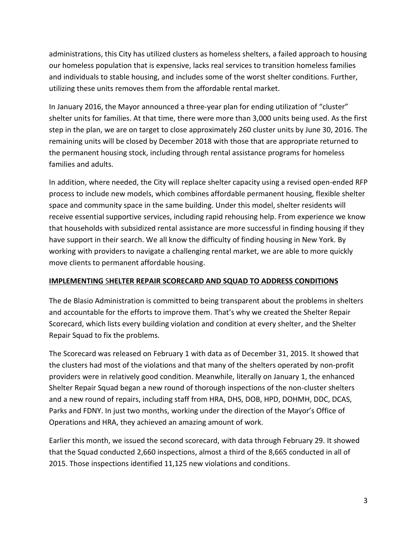administrations, this City has utilized clusters as homeless shelters, a failed approach to housing our homeless population that is expensive, lacks real services to transition homeless families and individuals to stable housing, and includes some of the worst shelter conditions. Further, utilizing these units removes them from the affordable rental market.

In January 2016, the Mayor announced a three-year plan for ending utilization of "cluster" shelter units for families. At that time, there were more than 3,000 units being used. As the first step in the plan, we are on target to close approximately 260 cluster units by June 30, 2016. The remaining units will be closed by December 2018 with those that are appropriate returned to the permanent housing stock, including through rental assistance programs for homeless families and adults.

In addition, where needed, the City will replace shelter capacity using a revised open-ended RFP process to include new models, which combines affordable permanent housing, flexible shelter space and community space in the same building. Under this model, shelter residents will receive essential supportive services, including rapid rehousing help. From experience we know that households with subsidized rental assistance are more successful in finding housing if they have support in their search. We all know the difficulty of finding housing in New York. By working with providers to navigate a challenging rental market, we are able to more quickly move clients to permanent affordable housing.

### **IMPLEMENTING** S**HELTER REPAIR SCORECARD AND SQUAD TO ADDRESS CONDITIONS**

The de Blasio Administration is committed to being transparent about the problems in shelters and accountable for the efforts to improve them. That's why we created the Shelter Repair Scorecard, which lists every building violation and condition at every shelter, and the Shelter Repair Squad to fix the problems.

The Scorecard was released on February 1 with data as of December 31, 2015. It showed that the clusters had most of the violations and that many of the shelters operated by non-profit providers were in relatively good condition. Meanwhile, literally on January 1, the enhanced Shelter Repair Squad began a new round of thorough inspections of the non-cluster shelters and a new round of repairs, including staff from HRA, DHS, DOB, HPD, DOHMH, DDC, DCAS, Parks and FDNY. In just two months, working under the direction of the Mayor's Office of Operations and HRA, they achieved an amazing amount of work.

Earlier this month, we issued the second scorecard, with data through February 29. It showed that the Squad conducted 2,660 inspections, almost a third of the 8,665 conducted in all of 2015. Those inspections identified 11,125 new violations and conditions.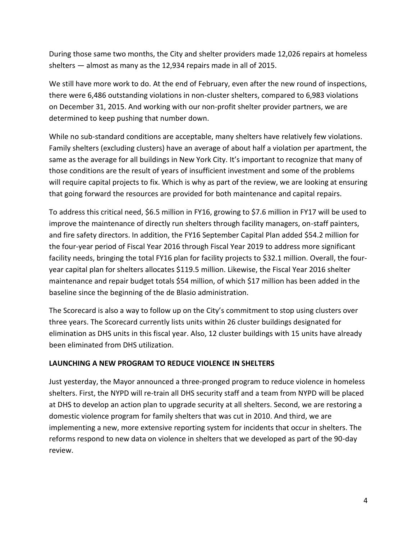During those same two months, the City and shelter providers made 12,026 repairs at homeless shelters — almost as many as the 12,934 repairs made in all of 2015.

We still have more work to do. At the end of February, even after the new round of inspections, there were 6,486 outstanding violations in non-cluster shelters, compared to 6,983 violations on December 31, 2015. And working with our non-profit shelter provider partners, we are determined to keep pushing that number down.

While no sub-standard conditions are acceptable, many shelters have relatively few violations. Family shelters (excluding clusters) have an average of about half a violation per apartment, the same as the average for all buildings in New York City. It's important to recognize that many of those conditions are the result of years of insufficient investment and some of the problems will require capital projects to fix. Which is why as part of the review, we are looking at ensuring that going forward the resources are provided for both maintenance and capital repairs.

To address this critical need, \$6.5 million in FY16, growing to \$7.6 million in FY17 will be used to improve the maintenance of directly run shelters through facility managers, on-staff painters, and fire safety directors. In addition, the FY16 September Capital Plan added \$54.2 million for the four-year period of Fiscal Year 2016 through Fiscal Year 2019 to address more significant facility needs, bringing the total FY16 plan for facility projects to \$32.1 million. Overall, the fouryear capital plan for shelters allocates \$119.5 million. Likewise, the Fiscal Year 2016 shelter maintenance and repair budget totals \$54 million, of which \$17 million has been added in the baseline since the beginning of the de Blasio administration.

The Scorecard is also a way to follow up on the City's commitment to stop using clusters over three years. The Scorecard currently lists units within 26 cluster buildings designated for elimination as DHS units in this fiscal year. Also, 12 cluster buildings with 15 units have already been eliminated from DHS utilization.

### **LAUNCHING A NEW PROGRAM TO REDUCE VIOLENCE IN SHELTERS**

Just yesterday, the Mayor announced a three-pronged program to reduce violence in homeless shelters. First, the NYPD will re-train all DHS security staff and a team from NYPD will be placed at DHS to develop an action plan to upgrade security at all shelters. Second, we are restoring a domestic violence program for family shelters that was cut in 2010. And third, we are implementing a new, more extensive reporting system for incidents that occur in shelters. The reforms respond to new data on violence in shelters that we developed as part of the 90-day review.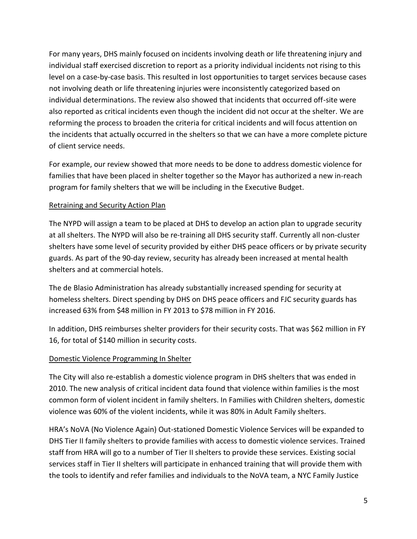For many years, DHS mainly focused on incidents involving death or life threatening injury and individual staff exercised discretion to report as a priority individual incidents not rising to this level on a case-by-case basis. This resulted in lost opportunities to target services because cases not involving death or life threatening injuries were inconsistently categorized based on individual determinations. The review also showed that incidents that occurred off-site were also reported as critical incidents even though the incident did not occur at the shelter. We are reforming the process to broaden the criteria for critical incidents and will focus attention on the incidents that actually occurred in the shelters so that we can have a more complete picture of client service needs.

For example, our review showed that more needs to be done to address domestic violence for families that have been placed in shelter together so the Mayor has authorized a new in-reach program for family shelters that we will be including in the Executive Budget.

### Retraining and Security Action Plan

The NYPD will assign a team to be placed at DHS to develop an action plan to upgrade security at all shelters. The NYPD will also be re-training all DHS security staff. Currently all non-cluster shelters have some level of security provided by either DHS peace officers or by private security guards. As part of the 90-day review, security has already been increased at mental health shelters and at commercial hotels.

The de Blasio Administration has already substantially increased spending for security at homeless shelters. Direct spending by DHS on DHS peace officers and FJC security guards has increased 63% from \$48 million in FY 2013 to \$78 million in FY 2016.

In addition, DHS reimburses shelter providers for their security costs. That was \$62 million in FY 16, for total of \$140 million in security costs.

# Domestic Violence Programming In Shelter

The City will also re-establish a domestic violence program in DHS shelters that was ended in 2010. The new analysis of critical incident data found that violence within families is the most common form of violent incident in family shelters. In Families with Children shelters, domestic violence was 60% of the violent incidents, while it was 80% in Adult Family shelters.

HRA's NoVA (No Violence Again) Out-stationed Domestic Violence Services will be expanded to DHS Tier II family shelters to provide families with access to domestic violence services. Trained staff from HRA will go to a number of Tier II shelters to provide these services. Existing social services staff in Tier II shelters will participate in enhanced training that will provide them with the tools to identify and refer families and individuals to the NoVA team, a NYC Family Justice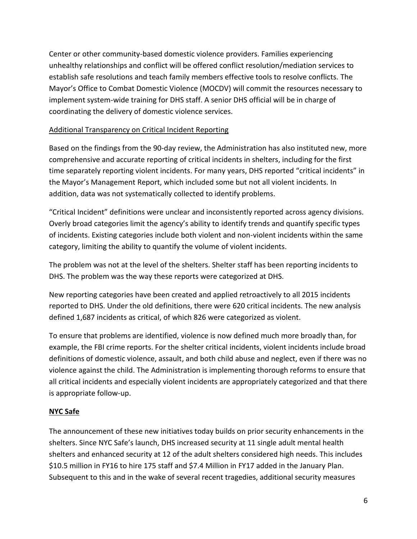Center or other community-based domestic violence providers. Families experiencing unhealthy relationships and conflict will be offered conflict resolution/mediation services to establish safe resolutions and teach family members effective tools to resolve conflicts. The Mayor's Office to Combat Domestic Violence (MOCDV) will commit the resources necessary to implement system-wide training for DHS staff. A senior DHS official will be in charge of coordinating the delivery of domestic violence services.

## Additional Transparency on Critical Incident Reporting

Based on the findings from the 90-day review, the Administration has also instituted new, more comprehensive and accurate reporting of critical incidents in shelters, including for the first time separately reporting violent incidents. For many years, DHS reported "critical incidents" in the Mayor's Management Report, which included some but not all violent incidents. In addition, data was not systematically collected to identify problems.

"Critical Incident" definitions were unclear and inconsistently reported across agency divisions. Overly broad categories limit the agency's ability to identify trends and quantify specific types of incidents. Existing categories include both violent and non-violent incidents within the same category, limiting the ability to quantify the volume of violent incidents.

The problem was not at the level of the shelters. Shelter staff has been reporting incidents to DHS. The problem was the way these reports were categorized at DHS.

New reporting categories have been created and applied retroactively to all 2015 incidents reported to DHS. Under the old definitions, there were 620 critical incidents. The new analysis defined 1,687 incidents as critical, of which 826 were categorized as violent.

To ensure that problems are identified, violence is now defined much more broadly than, for example, the FBI crime reports. For the shelter critical incidents, violent incidents include broad definitions of domestic violence, assault, and both child abuse and neglect, even if there was no violence against the child. The Administration is implementing thorough reforms to ensure that all critical incidents and especially violent incidents are appropriately categorized and that there is appropriate follow-up.

# **NYC Safe**

The announcement of these new initiatives today builds on prior security enhancements in the shelters. Since NYC Safe's launch, DHS increased security at 11 single adult mental health shelters and enhanced security at 12 of the adult shelters considered high needs. This includes \$10.5 million in FY16 to hire 175 staff and \$7.4 Million in FY17 added in the January Plan. Subsequent to this and in the wake of several recent tragedies, additional security measures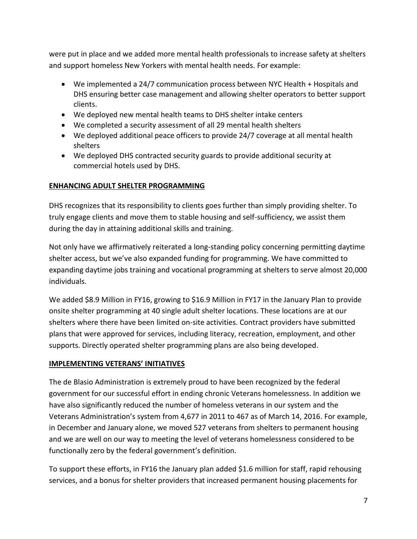were put in place and we added more mental health professionals to increase safety at shelters and support homeless New Yorkers with mental health needs. For example:

- We implemented a 24/7 communication process between NYC Health + Hospitals and DHS ensuring better case management and allowing shelter operators to better support clients.
- We deployed new mental health teams to DHS shelter intake centers
- We completed a security assessment of all 29 mental health shelters
- We deployed additional peace officers to provide 24/7 coverage at all mental health shelters
- We deployed DHS contracted security guards to provide additional security at commercial hotels used by DHS.

# **ENHANCING ADULT SHELTER PROGRAMMING**

DHS recognizes that its responsibility to clients goes further than simply providing shelter. To truly engage clients and move them to stable housing and self-sufficiency, we assist them during the day in attaining additional skills and training.

Not only have we affirmatively reiterated a long-standing policy concerning permitting daytime shelter access, but we've also expanded funding for programming. We have committed to expanding daytime jobs training and vocational programming at shelters to serve almost 20,000 individuals.

We added \$8.9 Million in FY16, growing to \$16.9 Million in FY17 in the January Plan to provide onsite shelter programming at 40 single adult shelter locations. These locations are at our shelters where there have been limited on-site activities. Contract providers have submitted plans that were approved for services, including literacy, recreation, employment, and other supports. Directly operated shelter programming plans are also being developed.

### **IMPLEMENTING VETERANS' INITIATIVES**

The de Blasio Administration is extremely proud to have been recognized by the federal government for our successful effort in ending chronic Veterans homelessness. In addition we have also significantly reduced the number of homeless veterans in our system and the Veterans Administration's system from 4,677 in 2011 to 467 as of March 14, 2016. For example, in December and January alone, we moved 527 veterans from shelters to permanent housing and we are well on our way to meeting the level of veterans homelessness considered to be functionally zero by the federal government's definition.

To support these efforts, in FY16 the January plan added \$1.6 million for staff, rapid rehousing services, and a bonus for shelter providers that increased permanent housing placements for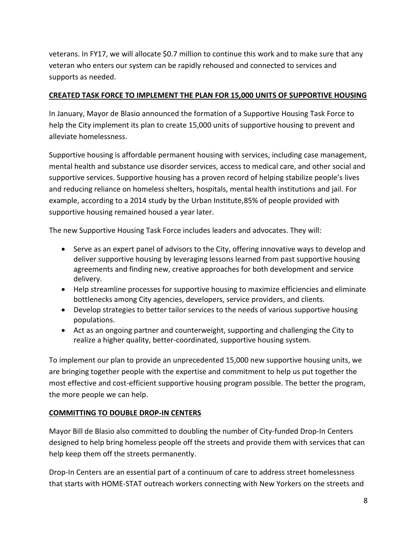veterans. In FY17, we will allocate \$0.7 million to continue this work and to make sure that any veteran who enters our system can be rapidly rehoused and connected to services and supports as needed.

## **CREATED TASK FORCE TO IMPLEMENT THE PLAN FOR 15,000 UNITS OF SUPPORTIVE HOUSING**

In January, Mayor de Blasio announced the formation of a Supportive Housing Task Force to help the City implement its plan to create 15,000 units of supportive housing to prevent and alleviate homelessness.

Supportive housing is affordable permanent housing with services, including case management, mental health and substance use disorder services, access to medical care, and other social and supportive services. Supportive housing has a proven record of helping stabilize people's lives and reducing reliance on homeless shelters, hospitals, mental health institutions and jail. For example, according to a 2014 study by the Urban Institute,85% of people provided with supportive housing remained housed a year later.

The new Supportive Housing Task Force includes leaders and advocates. They will:

- Serve as an expert panel of advisors to the City, offering innovative ways to develop and deliver supportive housing by leveraging lessons learned from past supportive housing agreements and finding new, creative approaches for both development and service delivery.
- Help streamline processes for supportive housing to maximize efficiencies and eliminate bottlenecks among City agencies, developers, service providers, and clients.
- Develop strategies to better tailor services to the needs of various supportive housing populations.
- Act as an ongoing partner and counterweight, supporting and challenging the City to realize a higher quality, better-coordinated, supportive housing system.

To implement our plan to provide an unprecedented 15,000 new supportive housing units, we are bringing together people with the expertise and commitment to help us put together the most effective and cost-efficient supportive housing program possible. The better the program, the more people we can help.

# **COMMITTING TO DOUBLE DROP-IN CENTERS**

Mayor Bill de Blasio also committed to doubling the number of City-funded Drop-In Centers designed to help bring homeless people off the streets and provide them with services that can help keep them off the streets permanently.

Drop-In Centers are an essential part of a continuum of care to address street homelessness that starts with HOME-STAT outreach workers connecting with New Yorkers on the streets and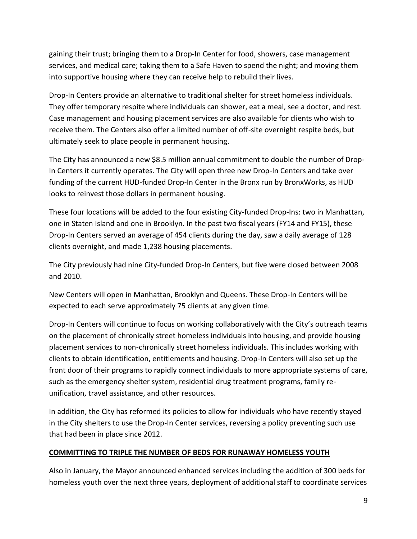gaining their trust; bringing them to a Drop-In Center for food, showers, case management services, and medical care; taking them to a Safe Haven to spend the night; and moving them into supportive housing where they can receive help to rebuild their lives.

Drop-In Centers provide an alternative to traditional shelter for street homeless individuals. They offer temporary respite where individuals can shower, eat a meal, see a doctor, and rest. Case management and housing placement services are also available for clients who wish to receive them. The Centers also offer a limited number of off-site overnight respite beds, but ultimately seek to place people in permanent housing.

The City has announced a new \$8.5 million annual commitment to double the number of Drop-In Centers it currently operates. The City will open three new Drop-In Centers and take over funding of the current HUD-funded Drop-In Center in the Bronx run by BronxWorks, as HUD looks to reinvest those dollars in permanent housing.

These four locations will be added to the four existing City-funded Drop-Ins: two in Manhattan, one in Staten Island and one in Brooklyn. In the past two fiscal years (FY14 and FY15), these Drop-In Centers served an average of 454 clients during the day, saw a daily average of 128 clients overnight, and made 1,238 housing placements.

The City previously had nine City-funded Drop-In Centers, but five were closed between 2008 and 2010.

New Centers will open in Manhattan, Brooklyn and Queens. These Drop-In Centers will be expected to each serve approximately 75 clients at any given time.

Drop-In Centers will continue to focus on working collaboratively with the City's outreach teams on the placement of chronically street homeless individuals into housing, and provide housing placement services to non-chronically street homeless individuals. This includes working with clients to obtain identification, entitlements and housing. Drop-In Centers will also set up the front door of their programs to rapidly connect individuals to more appropriate systems of care, such as the emergency shelter system, residential drug treatment programs, family reunification, travel assistance, and other resources.

In addition, the City has reformed its policies to allow for individuals who have recently stayed in the City shelters to use the Drop-In Center services, reversing a policy preventing such use that had been in place since 2012.

### **COMMITTING TO TRIPLE THE NUMBER OF BEDS FOR RUNAWAY HOMELESS YOUTH**

Also in January, the Mayor announced enhanced services including the addition of 300 beds for homeless youth over the next three years, deployment of additional staff to coordinate services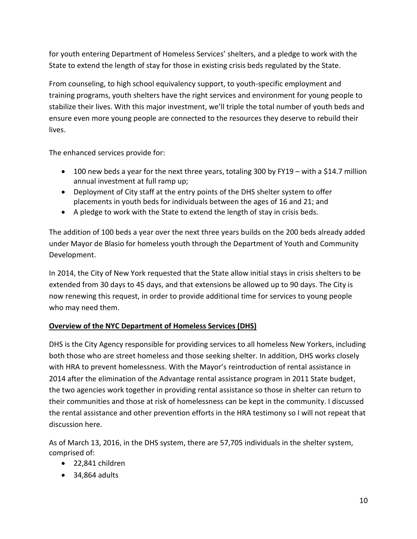for youth entering Department of Homeless Services' shelters, and a pledge to work with the State to extend the length of stay for those in existing crisis beds regulated by the State.

From counseling, to high school equivalency support, to youth-specific employment and training programs, youth shelters have the right services and environment for young people to stabilize their lives. With this major investment, we'll triple the total number of youth beds and ensure even more young people are connected to the resources they deserve to rebuild their lives.

The enhanced services provide for:

- 100 new beds a year for the next three years, totaling 300 by FY19 with a \$14.7 million annual investment at full ramp up;
- Deployment of City staff at the entry points of the DHS shelter system to offer placements in youth beds for individuals between the ages of 16 and 21; and
- A pledge to work with the State to extend the length of stay in crisis beds.

The addition of 100 beds a year over the next three years builds on the 200 beds already added under Mayor de Blasio for homeless youth through the Department of Youth and Community Development.

In 2014, the City of New York requested that the State allow initial stays in crisis shelters to be extended from 30 days to 45 days, and that extensions be allowed up to 90 days. The City is now renewing this request, in order to provide additional time for services to young people who may need them.

# **Overview of the NYC Department of Homeless Services (DHS)**

DHS is the City Agency responsible for providing services to all homeless New Yorkers, including both those who are street homeless and those seeking shelter. In addition, DHS works closely with HRA to prevent homelessness. With the Mayor's reintroduction of rental assistance in 2014 after the elimination of the Advantage rental assistance program in 2011 State budget, the two agencies work together in providing rental assistance so those in shelter can return to their communities and those at risk of homelessness can be kept in the community. I discussed the rental assistance and other prevention efforts in the HRA testimony so I will not repeat that discussion here.

As of March 13, 2016, in the DHS system, there are 57,705 individuals in the shelter system, comprised of:

- 22,841 children
- $\bullet$  34,864 adults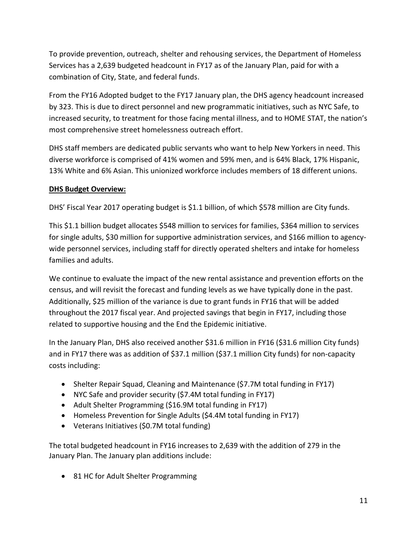To provide prevention, outreach, shelter and rehousing services, the Department of Homeless Services has a 2,639 budgeted headcount in FY17 as of the January Plan, paid for with a combination of City, State, and federal funds.

From the FY16 Adopted budget to the FY17 January plan, the DHS agency headcount increased by 323. This is due to direct personnel and new programmatic initiatives, such as NYC Safe, to increased security, to treatment for those facing mental illness, and to HOME STAT, the nation's most comprehensive street homelessness outreach effort.

DHS staff members are dedicated public servants who want to help New Yorkers in need. This diverse workforce is comprised of 41% women and 59% men, and is 64% Black, 17% Hispanic, 13% White and 6% Asian. This unionized workforce includes members of 18 different unions.

# **DHS Budget Overview:**

DHS' Fiscal Year 2017 operating budget is \$1.1 billion, of which \$578 million are City funds.

This \$1.1 billion budget allocates \$548 million to services for families, \$364 million to services for single adults, \$30 million for supportive administration services, and \$166 million to agencywide personnel services, including staff for directly operated shelters and intake for homeless families and adults.

We continue to evaluate the impact of the new rental assistance and prevention efforts on the census, and will revisit the forecast and funding levels as we have typically done in the past. Additionally, \$25 million of the variance is due to grant funds in FY16 that will be added throughout the 2017 fiscal year. And projected savings that begin in FY17, including those related to supportive housing and the End the Epidemic initiative.

In the January Plan, DHS also received another \$31.6 million in FY16 (\$31.6 million City funds) and in FY17 there was as addition of \$37.1 million (\$37.1 million City funds) for non-capacity costs including:

- Shelter Repair Squad, Cleaning and Maintenance (\$7.7M total funding in FY17)
- NYC Safe and provider security (\$7.4M total funding in FY17)
- Adult Shelter Programming (\$16.9M total funding in FY17)
- Homeless Prevention for Single Adults (\$4.4M total funding in FY17)
- Veterans Initiatives (\$0.7M total funding)

The total budgeted headcount in FY16 increases to 2,639 with the addition of 279 in the January Plan. The January plan additions include:

• 81 HC for Adult Shelter Programming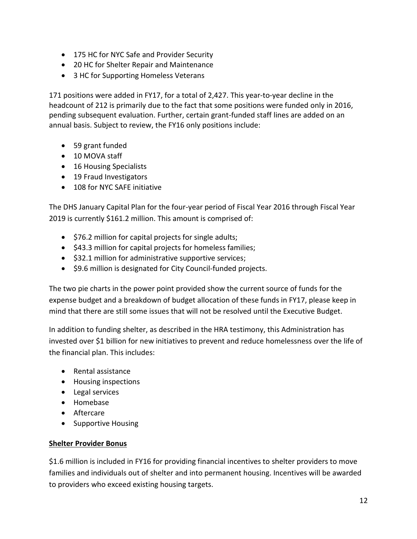- 175 HC for NYC Safe and Provider Security
- 20 HC for Shelter Repair and Maintenance
- 3 HC for Supporting Homeless Veterans

171 positions were added in FY17, for a total of 2,427. This year-to-year decline in the headcount of 212 is primarily due to the fact that some positions were funded only in 2016, pending subsequent evaluation. Further, certain grant-funded staff lines are added on an annual basis. Subject to review, the FY16 only positions include:

- 59 grant funded
- 10 MOVA staff
- 16 Housing Specialists
- 19 Fraud Investigators
- 108 for NYC SAFE initiative

The DHS January Capital Plan for the four-year period of Fiscal Year 2016 through Fiscal Year 2019 is currently \$161.2 million. This amount is comprised of:

- $\bullet$  \$76.2 million for capital projects for single adults;
- \$43.3 million for capital projects for homeless families;
- \$32.1 million for administrative supportive services;
- \$9.6 million is designated for City Council-funded projects.

The two pie charts in the power point provided show the current source of funds for the expense budget and a breakdown of budget allocation of these funds in FY17, please keep in mind that there are still some issues that will not be resolved until the Executive Budget.

In addition to funding shelter, as described in the HRA testimony, this Administration has invested over \$1 billion for new initiatives to prevent and reduce homelessness over the life of the financial plan. This includes:

- Rental assistance
- Housing inspections
- Legal services
- Homebase
- Aftercare
- Supportive Housing

#### **Shelter Provider Bonus**

\$1.6 million is included in FY16 for providing financial incentives to shelter providers to move families and individuals out of shelter and into permanent housing. Incentives will be awarded to providers who exceed existing housing targets.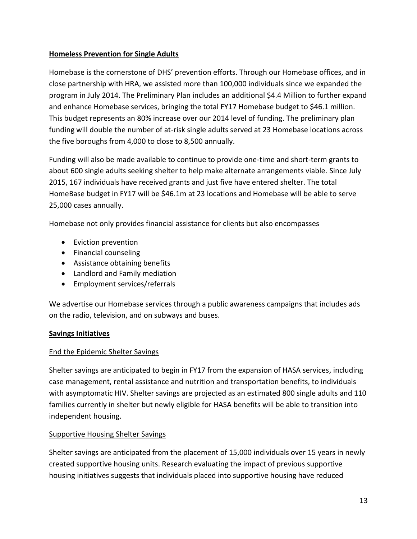## **Homeless Prevention for Single Adults**

Homebase is the cornerstone of DHS' prevention efforts. Through our Homebase offices, and in close partnership with HRA, we assisted more than 100,000 individuals since we expanded the program in July 2014. The Preliminary Plan includes an additional \$4.4 Million to further expand and enhance Homebase services, bringing the total FY17 Homebase budget to \$46.1 million. This budget represents an 80% increase over our 2014 level of funding. The preliminary plan funding will double the number of at-risk single adults served at 23 Homebase locations across the five boroughs from 4,000 to close to 8,500 annually.

Funding will also be made available to continue to provide one-time and short-term grants to about 600 single adults seeking shelter to help make alternate arrangements viable. Since July 2015, 167 individuals have received grants and just five have entered shelter. The total HomeBase budget in FY17 will be \$46.1m at 23 locations and Homebase will be able to serve 25,000 cases annually.

Homebase not only provides financial assistance for clients but also encompasses

- Eviction prevention
- Financial counseling
- Assistance obtaining benefits
- Landlord and Family mediation
- Employment services/referrals

We advertise our Homebase services through a public awareness campaigns that includes ads on the radio, television, and on subways and buses.

# **Savings Initiatives**

# End the Epidemic Shelter Savings

Shelter savings are anticipated to begin in FY17 from the expansion of HASA services, including case management, rental assistance and nutrition and transportation benefits, to individuals with asymptomatic HIV. Shelter savings are projected as an estimated 800 single adults and 110 families currently in shelter but newly eligible for HASA benefits will be able to transition into independent housing.

# Supportive Housing Shelter Savings

Shelter savings are anticipated from the placement of 15,000 individuals over 15 years in newly created supportive housing units. Research evaluating the impact of previous supportive housing initiatives suggests that individuals placed into supportive housing have reduced